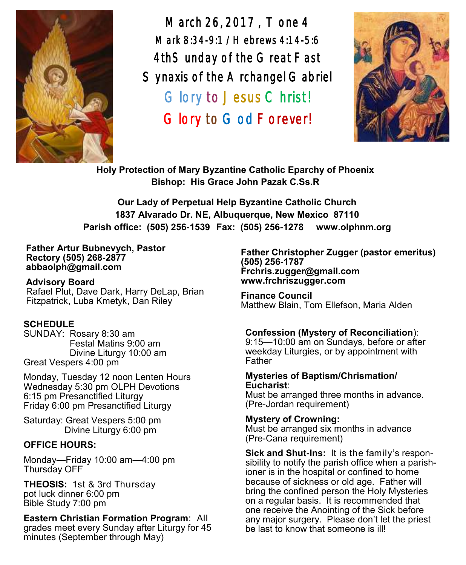

March 26, 2017 , Tone 4 Mark 8:34-9:1 /Hebrews 4:14-5:6 4thSunday of the Great Fast Synaxis of the Archangel Gabriel Glory to Jesus Christ! Glory to God Forever!



**Holy Protection of Mary Byzantine Catholic Eparchy of Phoenix Bishop: His Grace John Pazak C.Ss.R**

**Our Lady of Perpetual Help Byzantine Catholic Church 1837 Alvarado Dr. NE, Albuquerque, New Mexico 87110 Parish office: (505) 256-1539 Fax: (505) 256-1278 www.olphnm.org**

#### **Father Artur Bubnevych, Pastor Rectory (505) 268-2877 abbaolph@gmail.com**

**Advisory Board**  Rafael Plut, Dave Dark, Harry DeLap, Brian Fitzpatrick, Luba Kmetyk, Dan Riley

## **SCHEDULE**

SUNDAY: Rosary 8:30 am Festal Matins 9:00 am Divine Liturgy 10:00 am Great Vespers 4:00 pm

Monday, Tuesday 12 noon Lenten Hours Wednesday 5:30 pm OLPH Devotions 6:15 pm Presanctified Liturgy Friday 6:00 pm Presanctified Liturgy

Saturday: Great Vespers 5:00 pm Divine Liturgy 6:00 pm

#### **OFFICE HOURS:**

Monday—Friday 10:00 am—4:00 pm Thursday OFF

**THEOSIS:** 1st & 3rd Thursday pot luck dinner 6:00 pm Bible Study 7:00 pm

## **Eastern Christian Formation Program**: All

grades meet every Sunday after Liturgy for 45 minutes (September through May)

**Father Christopher Zugger (pastor emeritus) (505) 256-1787 Frchris.zugger@gmail.com www.frchriszugger.com** 

**Finance Council**  Matthew Blain, Tom Ellefson, Maria Alden

## **Confession (Mystery of Reconciliation**):

9:15—10:00 am on Sundays, before or after weekday Liturgies, or by appointment with Father

#### **Mysteries of Baptism/Chrismation/ Eucharist**:

Must be arranged three months in advance. (Pre-Jordan requirement)

#### **Mystery of Crowning:**

Must be arranged six months in advance (Pre-Cana requirement)

**Sick and Shut-Ins:** It is the family's responsibility to notify the parish office when a parishioner is in the hospital or confined to home because of sickness or old age. Father will bring the confined person the Holy Mysteries on a regular basis. It is recommended that one receive the Anointing of the Sick before any major surgery. Please don't let the priest be last to know that someone is ill!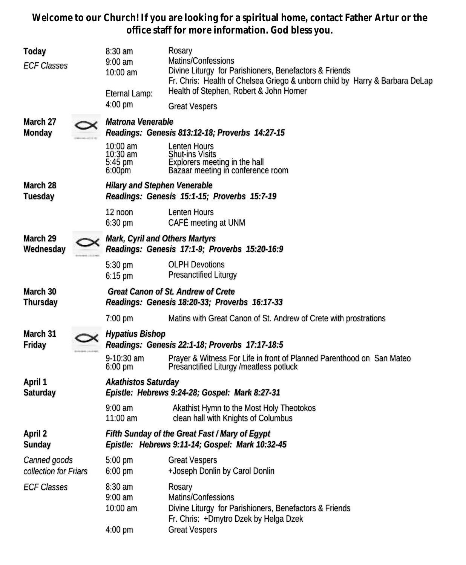**Welcome to our Church! If you are looking for a spiritual home, contact Father Artur or the office staff for more information. God bless you.**

| $8:30$ am<br>Today<br>$9:00$ am<br><b>ECF Classes</b><br>10:00 am<br>Eternal Lamp: |  | 4:00 pm                                                                                           | Rosary<br>Matins/Confessions<br>Divine Liturgy for Parishioners, Benefactors & Friends<br>Fr. Chris: Health of Chelsea Griego & unborn child by Harry & Barbara DeLap<br>Health of Stephen, Robert & John Horner<br><b>Great Vespers</b> |  |  |  |
|------------------------------------------------------------------------------------|--|---------------------------------------------------------------------------------------------------|------------------------------------------------------------------------------------------------------------------------------------------------------------------------------------------------------------------------------------------|--|--|--|
| March 27<br>Monday                                                                 |  | Matrona Venerable<br>Readings: Genesis 813:12-18; Proverbs 14:27-15                               |                                                                                                                                                                                                                                          |  |  |  |
|                                                                                    |  | 10:00 am<br>10:30 am<br>5:45 pm<br>$6:00p$ m                                                      | Lenten Hours<br><b>Shut-ins Visits</b><br>Explorers meeting in the hall<br>Bazaar meeting in conference room                                                                                                                             |  |  |  |
| March 28<br>Tuesday                                                                |  | <b>Hilary and Stephen Venerable</b><br>Readings: Genesis 15:1-15; Proverbs 15:7-19                |                                                                                                                                                                                                                                          |  |  |  |
|                                                                                    |  | $12$ noon<br>$6:30$ pm                                                                            | Lenten Hours<br>CAFÉ meeting at UNM                                                                                                                                                                                                      |  |  |  |
| March 29<br>Wednesday                                                              |  | Mark, Cyril and Others Martyrs<br>Readings: Genesis 17:1-9; Proverbs 15:20-16:9                   |                                                                                                                                                                                                                                          |  |  |  |
|                                                                                    |  | 5:30 pm<br>$6:15$ pm                                                                              | <b>OLPH Devotions</b><br><b>Presanctified Liturgy</b>                                                                                                                                                                                    |  |  |  |
| March 30<br>Thursday                                                               |  | Great Canon of St. Andrew of Crete<br>Readings: Genesis 18:20-33; Proverbs 16:17-33               |                                                                                                                                                                                                                                          |  |  |  |
|                                                                                    |  | $7:00$ pm                                                                                         | Matins with Great Canon of St. Andrew of Crete with prostrations                                                                                                                                                                         |  |  |  |
| March 31<br>Friday                                                                 |  | <b>Hypatius Bishop</b><br>Readings: Genesis 22:1-18; Proverbs 17:17-18:5                          |                                                                                                                                                                                                                                          |  |  |  |
|                                                                                    |  | 9-10:30 am<br>$6:00$ pm                                                                           | Prayer & Witness For Life in front of Planned Parenthood on San Mateo<br>Presanctified Liturgy /meatless potluck                                                                                                                         |  |  |  |
| April 1<br>Saturday                                                                |  | Akathistos Saturday<br>Epistle: Hebrews 9:24-28; Gospel: Mark 8:27-31                             |                                                                                                                                                                                                                                          |  |  |  |
|                                                                                    |  | $9:00$ am<br>$11:00$ am                                                                           | Akathist Hymn to the Most Holy Theotokos<br>clean hall with Knights of Columbus                                                                                                                                                          |  |  |  |
| April 2<br>Sunday                                                                  |  | Fifth Sunday of the Great Fast / Mary of Egypt<br>Epistle: Hebrews 9:11-14; Gospel: Mark 10:32-45 |                                                                                                                                                                                                                                          |  |  |  |
| Canned goods<br>collection for Friars                                              |  | 5:00 pm<br>6:00 pm                                                                                | <b>Great Vespers</b><br>+Joseph Donlin by Carol Donlin                                                                                                                                                                                   |  |  |  |
| <b>ECF Classes</b>                                                                 |  | 8:30 am<br>$9:00$ am<br>10:00 am                                                                  | Rosary<br>Matins/Confessions<br>Divine Liturgy for Parishioners, Benefactors & Friends                                                                                                                                                   |  |  |  |
|                                                                                    |  | 4:00 pm                                                                                           | Fr. Chris: +Dmytro Dzek by Helga Dzek<br><b>Great Vespers</b>                                                                                                                                                                            |  |  |  |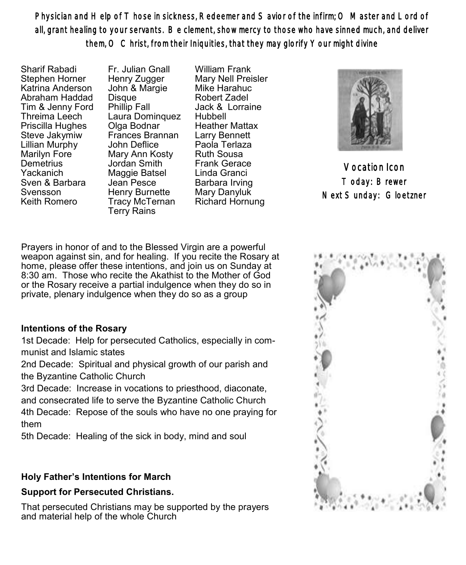Physician and Help of Those in sickness, Redeemer and Savior of the infirm; O Master and Lord of all, grant healing to your servants. Be clement, show mercy to those who have sinned much, and deliver them, O Christ, from their Iniquities, that they may glorify Your might divine

Sharif Rabadi Stephen Horner Katrina Anderson Abraham Haddad Tim & Jenny Ford Threima Leech Priscilla Hughes Steve Jakymiw Lillian Murphy Marilyn Fore **Demetrius** Yackanich Sven & Barbara Svensson Keith Romero

Fr. Julian Gnall Henry Zugger John & Margie **Disque** Phillip Fall Laura Dominquez Olga Bodnar Frances Brannan John Deflice Mary Ann Kosty Jordan Smith Maggie Batsel Jean Pesce Henry Burnette Tracy McTernan Terry Rains

William Frank Mary Nell Preisler Mike Harahuc Robert Zadel Jack & Lorraine Hubbell Heather Mattax Larry Bennett Paola Terlaza Ruth Sousa Frank Gerace Linda Granci Barbara Irving Mary Danyluk Richard Hornung



Vocation Icon Today: Brewer Next Sunday: Gloetzner

Prayers in honor of and to the Blessed Virgin are a powerful weapon against sin, and for healing. If you recite the Rosary at home, please offer these intentions, and join us on Sunday at 8:30 am. Those who recite the Akathist to the Mother of God or the Rosary receive a partial indulgence when they do so in private, plenary indulgence when they do so as a group

## **Intentions of the Rosary**

1st Decade: Help for persecuted Catholics, especially in communist and Islamic states

2nd Decade: Spiritual and physical growth of our parish and the Byzantine Catholic Church

3rd Decade: Increase in vocations to priesthood, diaconate, and consecrated life to serve the Byzantine Catholic Church 4th Decade: Repose of the souls who have no one praying for them

5th Decade: Healing of the sick in body, mind and soul

# **Holy Father's Intentions for March**

# **Support for Persecuted Christians.**

That persecuted Christians may be supported by the prayers and material help of the whole Church

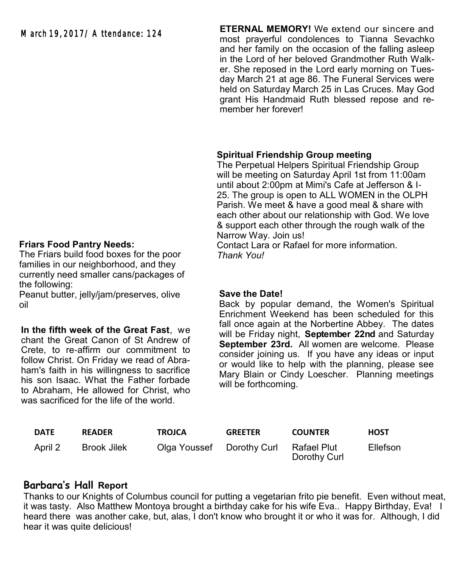#### **ETERNAL MEMORY!** We extend our sincere and most prayerful condolences to Tianna Sevachko and her family on the occasion of the falling asleep in the Lord of her beloved Grandmother Ruth Walker. She reposed in the Lord early morning on Tuesday March 21 at age 86. The Funeral Services were held on Saturday March 25 in Las Cruces. May God grant His Handmaid Ruth blessed repose and remember her forever!

## **Spiritual Friendship Group meeting**

The Perpetual Helpers Spiritual Friendship Group will be meeting on Saturday April 1st from 11:00am until about 2:00pm at Mimi's Cafe at Jefferson & I-25. The group is open to ALL WOMEN in the OLPH Parish. We meet & have a good meal & share with each other about our relationship with God. We love & support each other through the rough walk of the Narrow Way. Join us!

Contact Lara or Rafael for more information. *Thank You!*

#### **Save the Date!**

Back by popular demand, the Women's Spiritual Enrichment Weekend has been scheduled for this fall once again at the Norbertine Abbey. The dates will be Friday night, **September 22nd** and Saturday **September 23rd.** All women are welcome. Please consider joining us. If you have any ideas or input or would like to help with the planning, please see Mary Blain or Cindy Loescher. Planning meetings will be forthcoming.

| DATE    | <b>READER</b> | TROJCA                    | <b>GREETER</b> | <b>COUNTER</b>              | <b>HOST</b>     |
|---------|---------------|---------------------------|----------------|-----------------------------|-----------------|
| April 2 | Brook Jilek   | Olga Youssef Dorothy Curl |                | Rafael Plut<br>Dorothy Curl | <b>Ellefson</b> |

# **Barbara's Hall Report**

Thanks to our Knights of Columbus council for putting a vegetarian frito pie benefit. Even without meat, it was tasty. Also Matthew Montoya brought a birthday cake for his wife Eva.. Happy Birthday, Eva! I heard there was another cake, but, alas, I don't know who brought it or who it was for. Although, I did hear it was quite delicious!

#### **Friars Food Pantry Needs:**

The Friars build food boxes for the poor families in our neighborhood, and they currently need smaller cans/packages of the following:

Peanut butter, jelly/jam/preserves, olive oil

**In the fifth week of the Great Fast**, we chant the Great Canon of St Andrew of Crete, to re-affirm our commitment to follow Christ. On Friday we read of Abraham's faith in his willingness to sacrifice his son Isaac. What the Father forbade to Abraham, He allowed for Christ, who was sacrificed for the life of the world.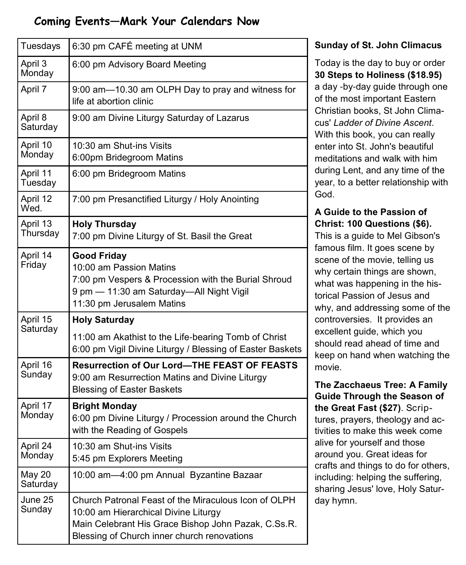# **Coming Events—Mark Your Calendars Now**

| Tuesdays             | 6:30 pm CAFÉ meeting at UNM                                                                                                                                                                        |  |  |  |  |
|----------------------|----------------------------------------------------------------------------------------------------------------------------------------------------------------------------------------------------|--|--|--|--|
| April 3<br>Monday    | 6:00 pm Advisory Board Meeting                                                                                                                                                                     |  |  |  |  |
| April 7              | 9:00 am-10.30 am OLPH Day to pray and witness for<br>life at abortion clinic                                                                                                                       |  |  |  |  |
| April 8<br>Saturday  | 9:00 am Divine Liturgy Saturday of Lazarus                                                                                                                                                         |  |  |  |  |
| April 10<br>Monday   | 10:30 am Shut-ins Visits<br>6:00pm Bridegroom Matins                                                                                                                                               |  |  |  |  |
| April 11<br>Tuesday  | 6:00 pm Bridegroom Matins                                                                                                                                                                          |  |  |  |  |
| April 12<br>Wed.     | 7:00 pm Presanctified Liturgy / Holy Anointing                                                                                                                                                     |  |  |  |  |
| April 13<br>Thursday | <b>Holy Thursday</b><br>7:00 pm Divine Liturgy of St. Basil the Great                                                                                                                              |  |  |  |  |
| April 14<br>Friday   | <b>Good Friday</b><br>10:00 am Passion Matins<br>7:00 pm Vespers & Procession with the Burial Shroud<br>9 pm - 11:30 am Saturday-All Night Vigil<br>11:30 pm Jerusalem Matins                      |  |  |  |  |
| April 15             | <b>Holy Saturday</b>                                                                                                                                                                               |  |  |  |  |
| Saturday             | 11:00 am Akathist to the Life-bearing Tomb of Christ<br>6:00 pm Vigil Divine Liturgy / Blessing of Easter Baskets                                                                                  |  |  |  |  |
| April 16<br>Sunday   | Resurrection of Our Lord-THE FEAST OF FEASTS<br>9:00 am Resurrection Matins and Divine Liturgy<br><b>Blessing of Easter Baskets</b>                                                                |  |  |  |  |
| April 17<br>Monday   | <b>Bright Monday</b><br>6:00 pm Divine Liturgy / Procession around the Church<br>with the Reading of Gospels                                                                                       |  |  |  |  |
| April 24<br>Monday   | 10:30 am Shut-ins Visits<br>5:45 pm Explorers Meeting                                                                                                                                              |  |  |  |  |
| May 20<br>Saturday   | 10:00 am-4:00 pm Annual Byzantine Bazaar                                                                                                                                                           |  |  |  |  |
| June 25<br>Sunday    | Church Patronal Feast of the Miraculous Icon of OLPH<br>10:00 am Hierarchical Divine Liturgy<br>Main Celebrant His Grace Bishop John Pazak, C.Ss.R.<br>Blessing of Church inner church renovations |  |  |  |  |

## **Sunday of St. John Climacus**

Today is the day to buy or order **30 Steps to Holiness (\$18.95)** a day -by-day guide through one of the most important Eastern Christian books, St John Climacus' *Ladder of Divine Ascent*. With this book, you can really enter into St. John's beautiful meditations and walk with him during Lent, and any time of the year, to a better relationship with God.

# **A Guide to the Passion of Christ: 100 Questions (\$6).**

This is a guide to Mel Gibson's famous film. It goes scene by scene of the movie, telling us why certain things are shown, what was happening in the historical Passion of Jesus and why, and addressing some of the controversies. It provides an excellent guide, which you should read ahead of time and keep on hand when watching the movie.

**The Zacchaeus Tree: A Family Guide Through the Season of the Great Fast (\$27)**. Scriptures, prayers, theology and activities to make this week come alive for yourself and those around you. Great ideas for crafts and things to do for others, including: helping the suffering, sharing Jesus' love, Holy Saturday hymn.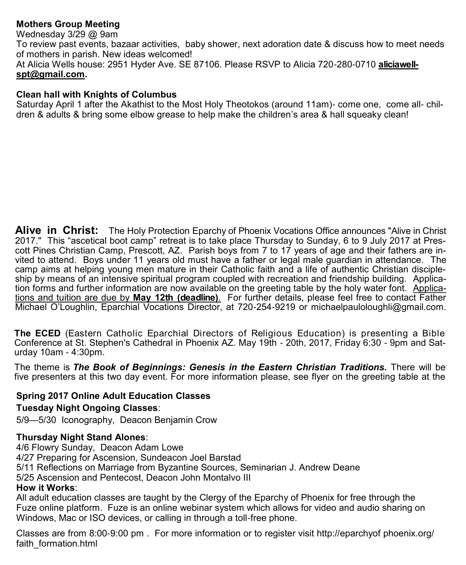# **Mothers Group Meeting**

Wednesday 3/29 @ 9am To review past events, bazaar activities, baby shower, next adoration date & discuss how to meet needs of mothers in parish. New ideas welcomed! At Alicia Wells house: 2951 Hyder Ave. SE 87106. Please RSVP to Alicia 720-280-0710 **[aliciawell](mailto:aliciawellspt@gmail.com)[spt@gmail.com.](mailto:aliciawellspt@gmail.com)**

#### **Clean hall with Knights of Columbus**

Saturday April 1 after the Akathist to the Most Holy Theotokos (around 11am)- come one, come all- children & adults & bring some elbow grease to help make the children's area & hall squeaky clean!

**Alive in Christ:** The Holy Protection Eparchy of Phoenix Vocations Office announces "Alive in Christ 2017." This "ascetical boot camp" retreat is to take place Thursday to Sunday, 6 to 9 July 2017 at Prescott Pines Christian Camp, Prescott, AZ. Parish boys from 7 to 17 years of age and their fathers are invited to attend. Boys under 11 years old must have a father or legal male guardian in attendance. The camp aims at helping young men mature in their Catholic faith and a life of authentic Christian discipleship by means of an intensive spiritual program coupled with recreation and friendship building. Application forms and further information are now available on the greeting table by the holy water font. Applications and tuition are due by **May 12th (deadline)**. For further details, please feel free to contact Father Michael O'Loughlin, Eparchial Vocations Director, at 720-254-[9219 o](tel:%28720%29%20254-9219)r michaelpauloloughli@gmail.com.

**The ECED** (Eastern Catholic Eparchial Directors of Religious Education) is presenting a Bible Conference at St. Stephen's Cathedral in Phoenix AZ. May 19th - 20th, 2017, Friday 6:30 - 9pm and Saturday 10am - 4:30pm.

The theme is *The Book of Beginnings: Genesis in the Eastern Christian Traditions.* There will be five presenters at this two day event. For more information please, see flyer on the greeting table at the

# **Spring 2017 Online Adult Education Classes**

## **Tuesday Night Ongoing Classes**:

5/9—5/30 Iconography, Deacon Benjamin Crow

## **Thursday Night Stand Alones**:

4/6 Flowry Sunday, Deacon Adam Lowe 4/27 Preparing for Ascension, Sundeacon Joel Barstad 5/11 Reflections on Marriage from Byzantine Sources, Seminarian J. Andrew Deane 5/25 Ascension and Pentecost, Deacon John Montalvo III **How it Works**: All adult education classes are taught by the Clergy of the Eparchy of Phoenix for free through the

Fuze online platform. Fuze is an online webinar system which allows for video and audio sharing on Windows, Mac or ISO devices, or calling in through a toll-free phone.

Classes are from 8:00-9:00 pm . For more information or to register visit http://eparchyof phoenix.org/ faith\_formation.html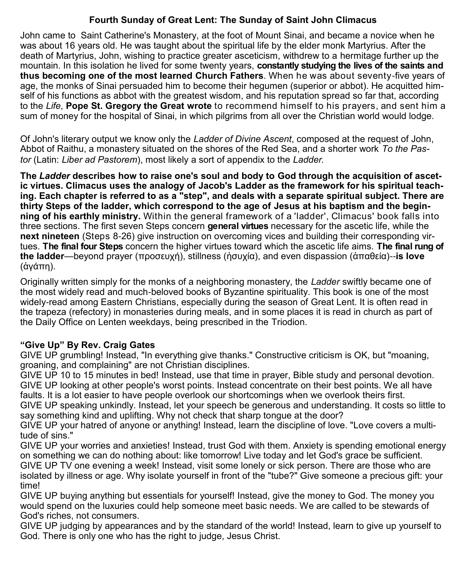## **Fourth Sunday of Great Lent: The Sunday of Saint John Climacus**

John came to [Saint Catherine's Monastery,](http://en.wikipedia.org/wiki/Saint_Catherine%27s_Monastery) at the foot of [Mount Sinai,](http://en.wikipedia.org/wiki/Mount_Sinai) and became a novice when he was about 16 years old. He was taught about the spiritual life by the elder monk Martyrius. After the death of Martyrius, John, wishing to practice greater [asceticism,](http://en.wikipedia.org/wiki/Asceticism) withdrew to a hermitage further up the mountain. In this isolation he lived for some twenty years, **constantly studying the lives of the [saints](http://en.wikipedia.org/wiki/Saint) and thus becoming one of the most learned Church Fathers**. When he was about seventy-five years of age, the monks of Sinai persuaded him to become their hegumen (superior or abbot). He acquitted himself of his functions as abbot with the greatest wisdom, and his reputation spread so far that, according to the *Life*, **Pope St. [Gregory the Great](http://en.wikipedia.org/wiki/Gregory_the_Great) wrote** to recommend himself to his prayers, and sent him a sum of money for the hospital of Sinai, in which pilgrims from all over the Christian world would lodge.

Of John's literary output we know only the *[Ladder of Divine Ascent](http://en.wikipedia.org/wiki/The_Ladder_of_Divine_Ascent)*, composed at the request of John, Abbot of Raithu, a monastery situated on the shores of the Red Sea, and a shorter work *To the Pastor* (Latin: *Liber ad Pastorem*), most likely a sort of appendix to the *Ladder.*

**The** *Ladder* **describes how to raise one's soul and body to God through the acquisition of ascetic virtues. Climacus uses the analogy of Jacob's Ladder as the framework for his spiritual teaching. Each chapter is referred to as a "step", and deals with a separate spiritual subject. There are thirty Steps of the ladder, which correspond to the age of Jesus at his baptism and the beginning of his earthly ministry.** Within the general framework of a 'ladder', Climacus' book falls into three sections. The first seven Steps concern **general virtues** necessary for the ascetic life, while the **next nineteen** (Steps 8-26) give instruction on overcoming vices and building their corresponding virtues. **The final four Steps** concern the higher virtues toward which the ascetic life aims. **The final rung of the ladder**—beyond prayer (προσευχή), stillness (ἡσυχία), and even dispassion (ἀπαθεία)--**is love** (ἀγάπη).

Originally written simply for the monks of a neighboring monastery, the *Ladder* swiftly became one of the most widely read and much-beloved books of Byzantine spirituality. This book is one of the most widely-read among Eastern Christians, especially during the season of Great Lent. It is often read in the [trapeza](http://en.wikipedia.org/wiki/Trapeza) (refectory) in [monasteries d](http://en.wikipedia.org/wiki/Monasteries)uring meals, and in some places it is read in church as part of the [Daily Office](http://en.wikipedia.org/wiki/Daily_Office) on Lenten weekdays, being prescribed in the Triodion.

# **"Give Up" By Rev. Craig Gates**

GIVE UP grumbling! Instead, "In everything give thanks." Constructive criticism is OK, but "moaning, groaning, and complaining" are not Christian disciplines.

GIVE UP 10 to 15 minutes in bed! Instead, use that time in prayer, Bible study and personal devotion. GIVE UP looking at other people's worst points. Instead concentrate on their best points. We all have faults. It is a lot easier to have people overlook our shortcomings when we overlook theirs first.

GIVE UP speaking unkindly. Instead, let your speech be generous and understanding. It costs so little to say something kind and uplifting. Why not check that sharp tongue at the door?

GIVE UP your hatred of anyone or anything! Instead, learn the discipline of love. "Love covers a multitude of sins."

GIVE UP your worries and anxieties! Instead, trust God with them. Anxiety is spending emotional energy on something we can do nothing about: like tomorrow! Live today and let God's grace be sufficient. GIVE UP TV one evening a week! Instead, visit some lonely or sick person. There are those who are isolated by illness or age. Why isolate yourself in front of the "tube?" Give someone a precious gift: your time!

GIVE UP buying anything but essentials for yourself! Instead, give the money to God. The money you would spend on the luxuries could help someone meet basic needs. We are called to be stewards of God's riches, not consumers.

GIVE UP judging by appearances and by the standard of the world! Instead, learn to give up yourself to God. There is only one who has the right to judge, Jesus Christ.